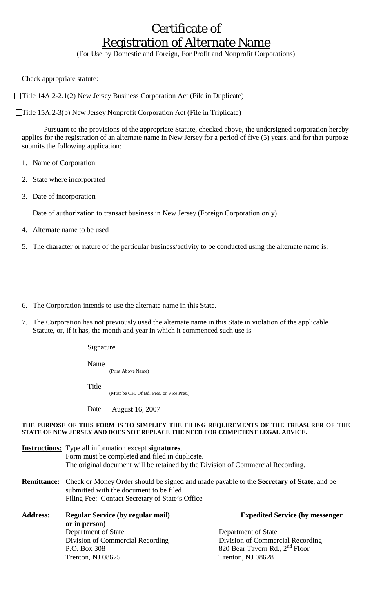# Certificate of Registration of Alternate Name

(For Use by Domestic and Foreign, For Profit and Nonprofit Corporations)

Check appropriate statute:

□Title 14A:2-2.1(2) New Jersey Business Corporation Act (File in Duplicate)

Title 15A:2-3(b) New Jersey Nonprofit Corporation Act (File in Triplicate)

 Pursuant to the provisions of the appropriate Statute, checked above, the undersigned corporation hereby applies for the registration of an alternate name in New Jersey for a period of five (5) years, and for that purpose submits the following application:

- 1. Name of Corporation
- 2. State where incorporated
- 3. Date of incorporation

Date of authorization to transact business in New Jersey (Foreign Corporation only)

- 4. Alternate name to be used
- 5. The character or nature of the particular business/activity to be conducted using the alternate name is:

6. The Corporation intends to use the alternate name in this State.

7. The Corporation has not previously used the alternate name in this State in violation of the applicable Statute, or, if it has, the month and year in which it commenced such use is

Signature

Name

(Print Above Name)

Title

(Must be CH. Of Bd. Pres. or Vice Pres.)

Date August 16, 2007

#### **THE PURPOSE OF THIS FORM IS TO SIMPLIFY THE FILING REQUIREMENTS OF THE TREASURER OF THE STATE OF NEW JERSEY AND DOES NOT REPLACE THE NEED FOR COMPETENT LEGAL ADVICE.**

**Instructions:** Type all information except **signatures**. Form must be completed and filed in duplicate. The original document will be retained by the Division of Commercial Recording.

**Remittance:** Check or Money Order should be signed and made payable to the **Secretary of State**, and be submitted with the document to be filed. Filing Fee: Contact Secretary of State's Office

| <b>Address:</b> | <b>Regular Service (by regular mail)</b> |
|-----------------|------------------------------------------|
|                 | or in person)                            |
|                 | Department of State                      |
|                 | Division of Commercial Recording         |
|                 | P.O. Box 308                             |
|                 | Trenton, NJ 08625                        |

**Expedited Service (by messenger** 

Department of State Division of Commercial Recording 820 Bear Tavern Rd.,  $2<sup>nd</sup>$  Floor Trenton, NJ 08628